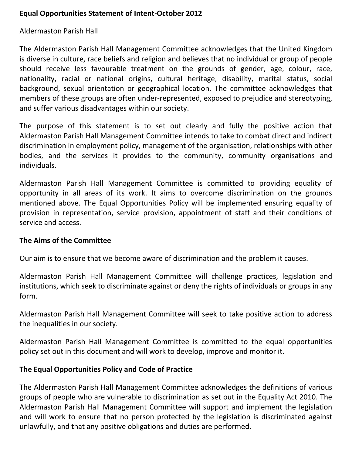## Equal Opportunities Statement of Intent-October 2012

### Aldermaston Parish Hall

The Aldermaston Parish Hall Management Committee acknowledges that the United Kingdom is diverse in culture, race beliefs and religion and believes that no individual or group of people should receive less favourable treatment on the grounds of gender, age, colour, race, nationality, racial or national origins, cultural heritage, disability, marital status, social background, sexual orientation or geographical location. The committee acknowledges that members of these groups are often under-represented, exposed to prejudice and stereotyping, and suffer various disadvantages within our society.

The purpose of this statement is to set out clearly and fully the positive action that Aldermaston Parish Hall Management Committee intends to take to combat direct and indirect discrimination in employment policy, management of the organisation, relationships with other bodies, and the services it provides to the community, community organisations and individuals.

Aldermaston Parish Hall Management Committee is committed to providing equality of opportunity in all areas of its work. It aims to overcome discrimination on the grounds mentioned above. The Equal Opportunities Policy will be implemented ensuring equality of provision in representation, service provision, appointment of staff and their conditions of service and access.

#### The Aims of the Committee

Our aim is to ensure that we become aware of discrimination and the problem it causes.

Aldermaston Parish Hall Management Committee will challenge practices, legislation and institutions, which seek to discriminate against or deny the rights of individuals or groups in any form.

Aldermaston Parish Hall Management Committee will seek to take positive action to address the inequalities in our society.

Aldermaston Parish Hall Management Committee is committed to the equal opportunities policy set out in this document and will work to develop, improve and monitor it.

#### The Equal Opportunities Policy and Code of Practice

The Aldermaston Parish Hall Management Committee acknowledges the definitions of various groups of people who are vulnerable to discrimination as set out in the Equality Act 2010. The Aldermaston Parish Hall Management Committee will support and implement the legislation and will work to ensure that no person protected by the legislation is discriminated against unlawfully, and that any positive obligations and duties are performed.